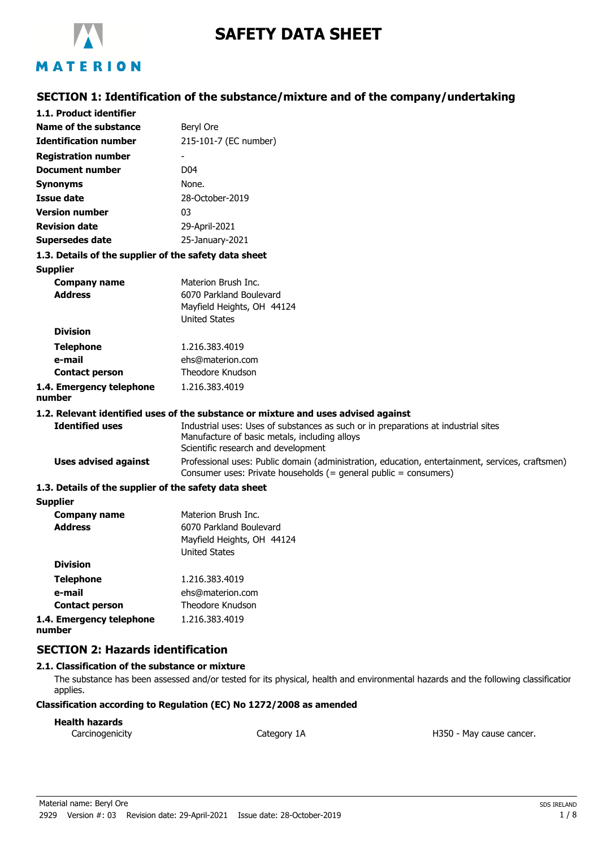

# **SAFETY DATA SHEET**

# **SECTION 1: Identification of the substance/mixture and of the company/undertaking**

| 1.1. Product identifier                               |                                                                                                                                                                      |
|-------------------------------------------------------|----------------------------------------------------------------------------------------------------------------------------------------------------------------------|
| <b>Name of the substance</b>                          | Beryl Ore                                                                                                                                                            |
| <b>Identification number</b>                          | 215-101-7 (EC number)                                                                                                                                                |
| <b>Registration number</b>                            |                                                                                                                                                                      |
| <b>Document number</b>                                | D04                                                                                                                                                                  |
| <b>Synonyms</b>                                       | None.                                                                                                                                                                |
| <b>Issue date</b>                                     | 28-October-2019                                                                                                                                                      |
| <b>Version number</b>                                 | 03                                                                                                                                                                   |
| <b>Revision date</b>                                  | 29-April-2021                                                                                                                                                        |
| <b>Supersedes date</b>                                | 25-January-2021                                                                                                                                                      |
| 1.3. Details of the supplier of the safety data sheet |                                                                                                                                                                      |
| <b>Supplier</b>                                       |                                                                                                                                                                      |
| <b>Company name</b>                                   | Materion Brush Inc.                                                                                                                                                  |
| <b>Address</b>                                        | 6070 Parkland Boulevard                                                                                                                                              |
|                                                       | Mayfield Heights, OH 44124                                                                                                                                           |
| <b>Division</b>                                       | <b>United States</b>                                                                                                                                                 |
|                                                       | 1.216.383.4019                                                                                                                                                       |
| <b>Telephone</b><br>e-mail                            | ehs@materion.com                                                                                                                                                     |
| <b>Contact person</b>                                 | <b>Theodore Knudson</b>                                                                                                                                              |
| 1.4. Emergency telephone                              | 1.216.383.4019                                                                                                                                                       |
| number                                                |                                                                                                                                                                      |
|                                                       | 1.2. Relevant identified uses of the substance or mixture and uses advised against                                                                                   |
| <b>Identified uses</b>                                | Industrial uses: Uses of substances as such or in preparations at industrial sites<br>Manufacture of basic metals, including alloys                                  |
|                                                       | Scientific research and development                                                                                                                                  |
| <b>Uses advised against</b>                           | Professional uses: Public domain (administration, education, entertainment, services, craftsmen)<br>Consumer uses: Private households (= general public = consumers) |
| 1.3. Details of the supplier of the safety data sheet |                                                                                                                                                                      |
| <b>Supplier</b>                                       |                                                                                                                                                                      |
| <b>Company name</b>                                   | Materion Brush Inc.                                                                                                                                                  |
| <b>Address</b>                                        | 6070 Parkland Boulevard                                                                                                                                              |
|                                                       | Mayfield Heights, OH 44124<br><b>United States</b>                                                                                                                   |
| <b>Division</b>                                       |                                                                                                                                                                      |
| <b>Telephone</b>                                      | 1.216.383.4019                                                                                                                                                       |
| e-mail                                                | ehs@materion.com                                                                                                                                                     |
| <b>Contact person</b>                                 | Theodore Knudson                                                                                                                                                     |
| 1.4. Emergency telephone                              | 1.216.383.4019                                                                                                                                                       |
| number                                                |                                                                                                                                                                      |

# **SECTION 2: Hazards identification**

### **2.1. Classification of the substance or mixture**

The substance has been assessed and/or tested for its physical, health and environmental hazards and the following classification applies.

#### **Classification according to Regulation (EC) No 1272/2008 as amended**

### **Health hazards**

Carcinogenicity Category 1A Category 1A Carcinogenicity Carcinogenicity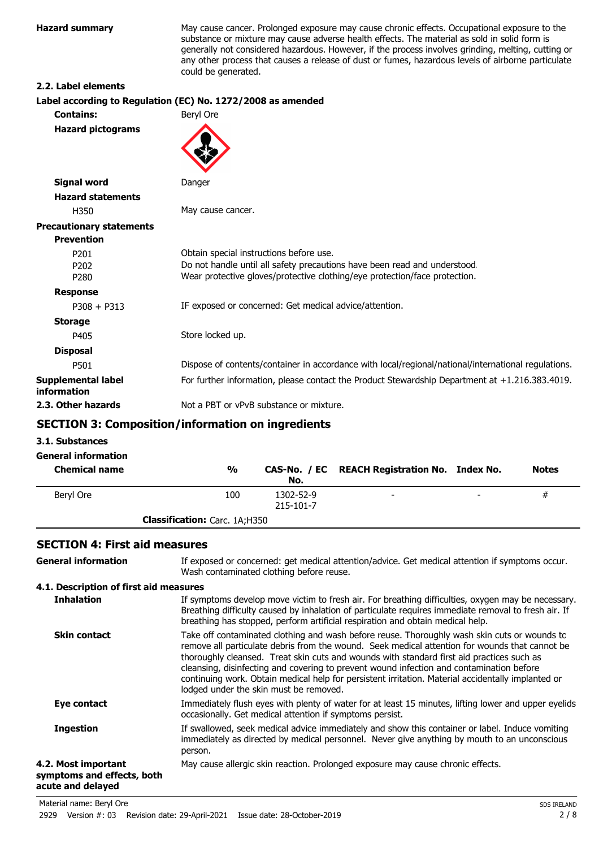**Hazard summary** May cause cancer. Prolonged exposure may cause chronic effects. Occupational exposure to the substance or mixture may cause adverse health effects. The material as sold in solid form is generally not considered hazardous. However, if the process involves grinding, melting, cutting or any other process that causes a release of dust or fumes, hazardous levels of airborne particulate could be generated.

#### **2.2. Label elements**

| Label according to Regulation (EC) No. 1272/2008 as amended                                                                                             |
|---------------------------------------------------------------------------------------------------------------------------------------------------------|
| Beryl Ore                                                                                                                                               |
|                                                                                                                                                         |
| Danger                                                                                                                                                  |
|                                                                                                                                                         |
| May cause cancer.                                                                                                                                       |
|                                                                                                                                                         |
|                                                                                                                                                         |
| Obtain special instructions before use.                                                                                                                 |
| Do not handle until all safety precautions have been read and understood.<br>Wear protective gloves/protective clothing/eye protection/face protection. |
|                                                                                                                                                         |
| IF exposed or concerned: Get medical advice/attention.                                                                                                  |
|                                                                                                                                                         |
| Store locked up.                                                                                                                                        |
|                                                                                                                                                         |
| Dispose of contents/container in accordance with local/regional/national/international regulations.                                                     |
| For further information, please contact the Product Stewardship Department at +1.216.383.4019.                                                          |
| Not a PBT or vPvB substance or mixture.                                                                                                                 |
|                                                                                                                                                         |

# **SECTION 3: Composition/information on ingredients**

#### **3.1. Substances**

| <b>General information</b><br><b>Chemical name</b> | $\frac{0}{0}$                        | No.                    | CAS-No. / EC REACH Registration No. Index No. |   | <b>Notes</b> |
|----------------------------------------------------|--------------------------------------|------------------------|-----------------------------------------------|---|--------------|
| Beryl Ore                                          | 100                                  | 1302-52-9<br>215-101-7 | $\overline{\phantom{0}}$                      | - | #            |
|                                                    | <b>Classification:</b> Carc. 1A;H350 |                        |                                               |   |              |

## **SECTION 4: First aid measures**

| <b>General information</b>                                             | If exposed or concerned: get medical attention/advice. Get medical attention if symptoms occur.<br>Wash contaminated clothing before reuse.                                                                                                                                                                                                                                                                                                                                                                                             |
|------------------------------------------------------------------------|-----------------------------------------------------------------------------------------------------------------------------------------------------------------------------------------------------------------------------------------------------------------------------------------------------------------------------------------------------------------------------------------------------------------------------------------------------------------------------------------------------------------------------------------|
| 4.1. Description of first aid measures                                 |                                                                                                                                                                                                                                                                                                                                                                                                                                                                                                                                         |
| <b>Inhalation</b>                                                      | If symptoms develop move victim to fresh air. For breathing difficulties, oxygen may be necessary.<br>Breathing difficulty caused by inhalation of particulate requires immediate removal to fresh air. If<br>breathing has stopped, perform artificial respiration and obtain medical help.                                                                                                                                                                                                                                            |
| <b>Skin contact</b>                                                    | Take off contaminated clothing and wash before reuse. Thoroughly wash skin cuts or wounds to<br>remove all particulate debris from the wound. Seek medical attention for wounds that cannot be<br>thoroughly cleansed. Treat skin cuts and wounds with standard first aid practices such as<br>cleansing, disinfecting and covering to prevent wound infection and contamination before<br>continuing work. Obtain medical help for persistent irritation. Material accidentally implanted or<br>lodged under the skin must be removed. |
| Eye contact                                                            | Immediately flush eyes with plenty of water for at least 15 minutes, lifting lower and upper eyelids<br>occasionally. Get medical attention if symptoms persist.                                                                                                                                                                                                                                                                                                                                                                        |
| <b>Ingestion</b>                                                       | If swallowed, seek medical advice immediately and show this container or label. Induce vomiting<br>immediately as directed by medical personnel. Never give anything by mouth to an unconscious<br>person.                                                                                                                                                                                                                                                                                                                              |
| 4.2. Most important<br>symptoms and effects, both<br>acute and delayed | May cause allergic skin reaction. Prolonged exposure may cause chronic effects.                                                                                                                                                                                                                                                                                                                                                                                                                                                         |
| Material name: Beryl Ore                                               | <b>SDS IRELAND</b>                                                                                                                                                                                                                                                                                                                                                                                                                                                                                                                      |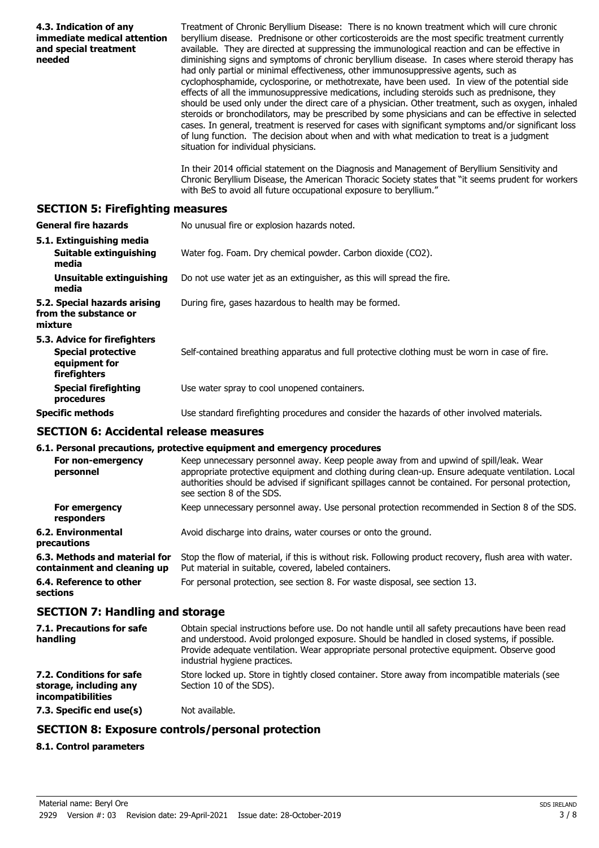| 4.3. Indication of any<br>immediate medical attention<br>and special treatment<br>needed   | Treatment of Chronic Beryllium Disease: There is no known treatment which will cure chronic<br>beryllium disease. Prednisone or other corticosteroids are the most specific treatment currently<br>available. They are directed at suppressing the immunological reaction and can be effective in<br>diminishing signs and symptoms of chronic beryllium disease. In cases where steroid therapy has<br>had only partial or minimal effectiveness, other immunosuppressive agents, such as<br>cyclophosphamide, cyclosporine, or methotrexate, have been used. In view of the potential side<br>effects of all the immunosuppressive medications, including steroids such as prednisone, they<br>should be used only under the direct care of a physician. Other treatment, such as oxygen, inhaled<br>steroids or bronchodilators, may be prescribed by some physicians and can be effective in selected<br>cases. In general, treatment is reserved for cases with significant symptoms and/or significant loss<br>of lung function. The decision about when and with what medication to treat is a judgment<br>situation for individual physicians.<br>In their 2014 official statement on the Diagnosis and Management of Beryllium Sensitivity and<br>Chronic Beryllium Disease, the American Thoracic Society states that "it seems prudent for workers |
|--------------------------------------------------------------------------------------------|---------------------------------------------------------------------------------------------------------------------------------------------------------------------------------------------------------------------------------------------------------------------------------------------------------------------------------------------------------------------------------------------------------------------------------------------------------------------------------------------------------------------------------------------------------------------------------------------------------------------------------------------------------------------------------------------------------------------------------------------------------------------------------------------------------------------------------------------------------------------------------------------------------------------------------------------------------------------------------------------------------------------------------------------------------------------------------------------------------------------------------------------------------------------------------------------------------------------------------------------------------------------------------------------------------------------------------------------------------------|
|                                                                                            | with BeS to avoid all future occupational exposure to beryllium."                                                                                                                                                                                                                                                                                                                                                                                                                                                                                                                                                                                                                                                                                                                                                                                                                                                                                                                                                                                                                                                                                                                                                                                                                                                                                             |
| <b>SECTION 5: Firefighting measures</b>                                                    |                                                                                                                                                                                                                                                                                                                                                                                                                                                                                                                                                                                                                                                                                                                                                                                                                                                                                                                                                                                                                                                                                                                                                                                                                                                                                                                                                               |
| <b>General fire hazards</b>                                                                | No unusual fire or explosion hazards noted.                                                                                                                                                                                                                                                                                                                                                                                                                                                                                                                                                                                                                                                                                                                                                                                                                                                                                                                                                                                                                                                                                                                                                                                                                                                                                                                   |
| 5.1. Extinguishing media<br><b>Suitable extinguishing</b><br>media                         | Water fog. Foam. Dry chemical powder. Carbon dioxide (CO2).                                                                                                                                                                                                                                                                                                                                                                                                                                                                                                                                                                                                                                                                                                                                                                                                                                                                                                                                                                                                                                                                                                                                                                                                                                                                                                   |
| <b>Unsuitable extinguishing</b><br>media                                                   | Do not use water jet as an extinguisher, as this will spread the fire.                                                                                                                                                                                                                                                                                                                                                                                                                                                                                                                                                                                                                                                                                                                                                                                                                                                                                                                                                                                                                                                                                                                                                                                                                                                                                        |
| 5.2. Special hazards arising<br>from the substance or<br>mixture                           | During fire, gases hazardous to health may be formed.                                                                                                                                                                                                                                                                                                                                                                                                                                                                                                                                                                                                                                                                                                                                                                                                                                                                                                                                                                                                                                                                                                                                                                                                                                                                                                         |
| 5.3. Advice for firefighters<br><b>Special protective</b><br>equipment for<br>firefighters | Self-contained breathing apparatus and full protective clothing must be worn in case of fire.                                                                                                                                                                                                                                                                                                                                                                                                                                                                                                                                                                                                                                                                                                                                                                                                                                                                                                                                                                                                                                                                                                                                                                                                                                                                 |
| <b>Special firefighting</b><br>procedures                                                  | Use water spray to cool unopened containers.                                                                                                                                                                                                                                                                                                                                                                                                                                                                                                                                                                                                                                                                                                                                                                                                                                                                                                                                                                                                                                                                                                                                                                                                                                                                                                                  |
| <b>Specific methods</b>                                                                    | Use standard firefighting procedures and consider the hazards of other involved materials.                                                                                                                                                                                                                                                                                                                                                                                                                                                                                                                                                                                                                                                                                                                                                                                                                                                                                                                                                                                                                                                                                                                                                                                                                                                                    |
| <b>SECTION 6: Accidental release measures</b>                                              |                                                                                                                                                                                                                                                                                                                                                                                                                                                                                                                                                                                                                                                                                                                                                                                                                                                                                                                                                                                                                                                                                                                                                                                                                                                                                                                                                               |
|                                                                                            | 6.1. Personal precautions, protective equipment and emergency procedures                                                                                                                                                                                                                                                                                                                                                                                                                                                                                                                                                                                                                                                                                                                                                                                                                                                                                                                                                                                                                                                                                                                                                                                                                                                                                      |
| personnel                                                                                  | For non-emergency Keep unnecessary personnel away. Keep people away from and upwind of spill/leak. Wear<br>appropriate protective equipment and clothing during clean-up. Ensure adequate ventilation. Local<br>authorities should be advised if significant spillages cannot be contained. For personal protection,<br>see section 8 of the SDS.                                                                                                                                                                                                                                                                                                                                                                                                                                                                                                                                                                                                                                                                                                                                                                                                                                                                                                                                                                                                             |
| For emergency<br>responders                                                                | Keep unnecessary personnel away. Use personal protection recommended in Section 8 of the SDS.                                                                                                                                                                                                                                                                                                                                                                                                                                                                                                                                                                                                                                                                                                                                                                                                                                                                                                                                                                                                                                                                                                                                                                                                                                                                 |
| <b>6.2. Environmental</b><br>precautions                                                   | Avoid discharge into drains, water courses or onto the ground.                                                                                                                                                                                                                                                                                                                                                                                                                                                                                                                                                                                                                                                                                                                                                                                                                                                                                                                                                                                                                                                                                                                                                                                                                                                                                                |
| 6.3. Methods and material for<br>containment and cleaning up                               | Stop the flow of material, if this is without risk. Following product recovery, flush area with water.<br>Put material in suitable, covered, labeled containers.                                                                                                                                                                                                                                                                                                                                                                                                                                                                                                                                                                                                                                                                                                                                                                                                                                                                                                                                                                                                                                                                                                                                                                                              |
| 6.4. Reference to other<br>sections                                                        | For personal protection, see section 8. For waste disposal, see section 13.                                                                                                                                                                                                                                                                                                                                                                                                                                                                                                                                                                                                                                                                                                                                                                                                                                                                                                                                                                                                                                                                                                                                                                                                                                                                                   |
| <b>SECTION 7: Handling and storage</b>                                                     |                                                                                                                                                                                                                                                                                                                                                                                                                                                                                                                                                                                                                                                                                                                                                                                                                                                                                                                                                                                                                                                                                                                                                                                                                                                                                                                                                               |
| 7.1. Precautions for safe<br>handling                                                      | Obtain special instructions before use. Do not handle until all safety precautions have been read<br>and understood. Avoid prolonged exposure. Should be handled in closed systems, if possible.<br>Provide adequate ventilation. Wear appropriate personal protective equipment. Observe good<br>industrial hygiene practices.                                                                                                                                                                                                                                                                                                                                                                                                                                                                                                                                                                                                                                                                                                                                                                                                                                                                                                                                                                                                                               |
| 7.2. Conditions for safe<br>storage, including any<br>incompatibilities                    | Store locked up. Store in tightly closed container. Store away from incompatible materials (see<br>Section 10 of the SDS).                                                                                                                                                                                                                                                                                                                                                                                                                                                                                                                                                                                                                                                                                                                                                                                                                                                                                                                                                                                                                                                                                                                                                                                                                                    |
| 7.3. Specific end use(s)                                                                   | Not available.                                                                                                                                                                                                                                                                                                                                                                                                                                                                                                                                                                                                                                                                                                                                                                                                                                                                                                                                                                                                                                                                                                                                                                                                                                                                                                                                                |
|                                                                                            | <b>SECTION 8: Exposure controls/personal protection</b>                                                                                                                                                                                                                                                                                                                                                                                                                                                                                                                                                                                                                                                                                                                                                                                                                                                                                                                                                                                                                                                                                                                                                                                                                                                                                                       |
| 8.1. Control parameters                                                                    |                                                                                                                                                                                                                                                                                                                                                                                                                                                                                                                                                                                                                                                                                                                                                                                                                                                                                                                                                                                                                                                                                                                                                                                                                                                                                                                                                               |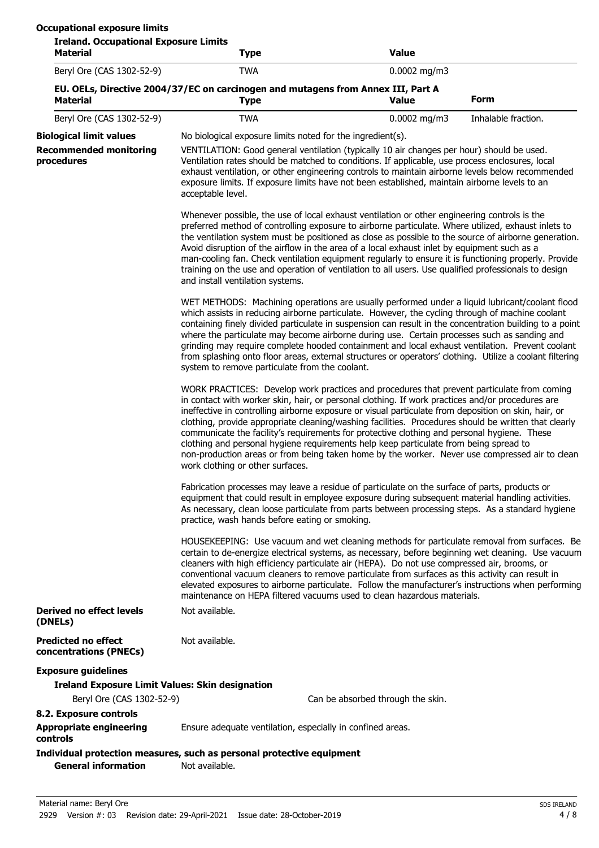| <b>Ireland. Occupational Exposure Limits</b><br><b>Material</b>                                                                                                                                                                                                                                                                                                                                                                                                                                                                                                                                                                                                                                                                                                                                                                                                                                                                                                                                                                                                                                                                                                                                                                                                                                                                                                                                                                                                                                                                                                                                                                                                                                                                                                                                                                                                                                     | <b>Type</b>                                                                                                                                                                                                                                                                                                                                                                                                                                                                                                                                                                                                                | <b>Value</b>                      |                     |  |
|-----------------------------------------------------------------------------------------------------------------------------------------------------------------------------------------------------------------------------------------------------------------------------------------------------------------------------------------------------------------------------------------------------------------------------------------------------------------------------------------------------------------------------------------------------------------------------------------------------------------------------------------------------------------------------------------------------------------------------------------------------------------------------------------------------------------------------------------------------------------------------------------------------------------------------------------------------------------------------------------------------------------------------------------------------------------------------------------------------------------------------------------------------------------------------------------------------------------------------------------------------------------------------------------------------------------------------------------------------------------------------------------------------------------------------------------------------------------------------------------------------------------------------------------------------------------------------------------------------------------------------------------------------------------------------------------------------------------------------------------------------------------------------------------------------------------------------------------------------------------------------------------------------|----------------------------------------------------------------------------------------------------------------------------------------------------------------------------------------------------------------------------------------------------------------------------------------------------------------------------------------------------------------------------------------------------------------------------------------------------------------------------------------------------------------------------------------------------------------------------------------------------------------------------|-----------------------------------|---------------------|--|
| Beryl Ore (CAS 1302-52-9)                                                                                                                                                                                                                                                                                                                                                                                                                                                                                                                                                                                                                                                                                                                                                                                                                                                                                                                                                                                                                                                                                                                                                                                                                                                                                                                                                                                                                                                                                                                                                                                                                                                                                                                                                                                                                                                                           | <b>TWA</b>                                                                                                                                                                                                                                                                                                                                                                                                                                                                                                                                                                                                                 | $0.0002$ mg/m3                    |                     |  |
| <b>Material</b>                                                                                                                                                                                                                                                                                                                                                                                                                                                                                                                                                                                                                                                                                                                                                                                                                                                                                                                                                                                                                                                                                                                                                                                                                                                                                                                                                                                                                                                                                                                                                                                                                                                                                                                                                                                                                                                                                     | EU. OELs, Directive 2004/37/EC on carcinogen and mutagens from Annex III, Part A<br><b>Type</b>                                                                                                                                                                                                                                                                                                                                                                                                                                                                                                                            | <b>Value</b>                      | <b>Form</b>         |  |
| Beryl Ore (CAS 1302-52-9)                                                                                                                                                                                                                                                                                                                                                                                                                                                                                                                                                                                                                                                                                                                                                                                                                                                                                                                                                                                                                                                                                                                                                                                                                                                                                                                                                                                                                                                                                                                                                                                                                                                                                                                                                                                                                                                                           | <b>TWA</b>                                                                                                                                                                                                                                                                                                                                                                                                                                                                                                                                                                                                                 | $0.0002$ mg/m3                    | Inhalable fraction. |  |
| <b>Biological limit values</b>                                                                                                                                                                                                                                                                                                                                                                                                                                                                                                                                                                                                                                                                                                                                                                                                                                                                                                                                                                                                                                                                                                                                                                                                                                                                                                                                                                                                                                                                                                                                                                                                                                                                                                                                                                                                                                                                      | No biological exposure limits noted for the ingredient(s).                                                                                                                                                                                                                                                                                                                                                                                                                                                                                                                                                                 |                                   |                     |  |
| <b>Recommended monitoring</b><br>VENTILATION: Good general ventilation (typically 10 air changes per hour) should be used.<br>procedures<br>Ventilation rates should be matched to conditions. If applicable, use process enclosures, local<br>exhaust ventilation, or other engineering controls to maintain airborne levels below recommended<br>exposure limits. If exposure limits have not been established, maintain airborne levels to an<br>acceptable level.<br>and install ventilation systems.<br>system to remove particulate from the coolant.<br>WORK PRACTICES: Develop work practices and procedures that prevent particulate from coming<br>in contact with worker skin, hair, or personal clothing. If work practices and/or procedures are<br>ineffective in controlling airborne exposure or visual particulate from deposition on skin, hair, or<br>clothing, provide appropriate cleaning/washing facilities. Procedures should be written that clearly<br>communicate the facility's requirements for protective clothing and personal hygiene. These<br>clothing and personal hygiene requirements help keep particulate from being spread to<br>non-production areas or from being taken home by the worker. Never use compressed air to clean<br>work clothing or other surfaces.<br>HOUSEKEEPING: Use vacuum and wet cleaning methods for particulate removal from surfaces. Be<br>certain to de-energize electrical systems, as necessary, before beginning wet cleaning. Use vacuum<br>cleaners with high efficiency particulate air (HEPA). Do not use compressed air, brooms, or<br>conventional vacuum cleaners to remove particulate from surfaces as this activity can result in<br>elevated exposures to airborne particulate. Follow the manufacturer's instructions when performing<br>maintenance on HEPA filtered vacuums used to clean hazardous materials. |                                                                                                                                                                                                                                                                                                                                                                                                                                                                                                                                                                                                                            |                                   |                     |  |
|                                                                                                                                                                                                                                                                                                                                                                                                                                                                                                                                                                                                                                                                                                                                                                                                                                                                                                                                                                                                                                                                                                                                                                                                                                                                                                                                                                                                                                                                                                                                                                                                                                                                                                                                                                                                                                                                                                     | Whenever possible, the use of local exhaust ventilation or other engineering controls is the<br>preferred method of controlling exposure to airborne particulate. Where utilized, exhaust inlets to<br>the ventilation system must be positioned as close as possible to the source of airborne generation.<br>Avoid disruption of the airflow in the area of a local exhaust inlet by equipment such as a<br>man-cooling fan. Check ventilation equipment regularly to ensure it is functioning properly. Provide<br>training on the use and operation of ventilation to all users. Use qualified professionals to design |                                   |                     |  |
|                                                                                                                                                                                                                                                                                                                                                                                                                                                                                                                                                                                                                                                                                                                                                                                                                                                                                                                                                                                                                                                                                                                                                                                                                                                                                                                                                                                                                                                                                                                                                                                                                                                                                                                                                                                                                                                                                                     | WET METHODS: Machining operations are usually performed under a liquid lubricant/coolant flood<br>which assists in reducing airborne particulate. However, the cycling through of machine coolant<br>containing finely divided particulate in suspension can result in the concentration building to a point<br>where the particulate may become airborne during use. Certain processes such as sanding and<br>grinding may require complete hooded containment and local exhaust ventilation. Prevent coolant<br>from splashing onto floor areas, external structures or operators' clothing. Utilize a coolant filtering |                                   |                     |  |
|                                                                                                                                                                                                                                                                                                                                                                                                                                                                                                                                                                                                                                                                                                                                                                                                                                                                                                                                                                                                                                                                                                                                                                                                                                                                                                                                                                                                                                                                                                                                                                                                                                                                                                                                                                                                                                                                                                     |                                                                                                                                                                                                                                                                                                                                                                                                                                                                                                                                                                                                                            |                                   |                     |  |
|                                                                                                                                                                                                                                                                                                                                                                                                                                                                                                                                                                                                                                                                                                                                                                                                                                                                                                                                                                                                                                                                                                                                                                                                                                                                                                                                                                                                                                                                                                                                                                                                                                                                                                                                                                                                                                                                                                     | Fabrication processes may leave a residue of particulate on the surface of parts, products or<br>equipment that could result in employee exposure during subsequent material handling activities.<br>As necessary, clean loose particulate from parts between processing steps. As a standard hygiene<br>practice, wash hands before eating or smoking.                                                                                                                                                                                                                                                                    |                                   |                     |  |
|                                                                                                                                                                                                                                                                                                                                                                                                                                                                                                                                                                                                                                                                                                                                                                                                                                                                                                                                                                                                                                                                                                                                                                                                                                                                                                                                                                                                                                                                                                                                                                                                                                                                                                                                                                                                                                                                                                     |                                                                                                                                                                                                                                                                                                                                                                                                                                                                                                                                                                                                                            |                                   |                     |  |
| Derived no effect levels<br>(DNELs)                                                                                                                                                                                                                                                                                                                                                                                                                                                                                                                                                                                                                                                                                                                                                                                                                                                                                                                                                                                                                                                                                                                                                                                                                                                                                                                                                                                                                                                                                                                                                                                                                                                                                                                                                                                                                                                                 | Not available.                                                                                                                                                                                                                                                                                                                                                                                                                                                                                                                                                                                                             |                                   |                     |  |
| <b>Predicted no effect</b><br>concentrations (PNECs)                                                                                                                                                                                                                                                                                                                                                                                                                                                                                                                                                                                                                                                                                                                                                                                                                                                                                                                                                                                                                                                                                                                                                                                                                                                                                                                                                                                                                                                                                                                                                                                                                                                                                                                                                                                                                                                | Not available.                                                                                                                                                                                                                                                                                                                                                                                                                                                                                                                                                                                                             |                                   |                     |  |
| <b>Exposure guidelines</b>                                                                                                                                                                                                                                                                                                                                                                                                                                                                                                                                                                                                                                                                                                                                                                                                                                                                                                                                                                                                                                                                                                                                                                                                                                                                                                                                                                                                                                                                                                                                                                                                                                                                                                                                                                                                                                                                          |                                                                                                                                                                                                                                                                                                                                                                                                                                                                                                                                                                                                                            |                                   |                     |  |
| <b>Ireland Exposure Limit Values: Skin designation</b>                                                                                                                                                                                                                                                                                                                                                                                                                                                                                                                                                                                                                                                                                                                                                                                                                                                                                                                                                                                                                                                                                                                                                                                                                                                                                                                                                                                                                                                                                                                                                                                                                                                                                                                                                                                                                                              |                                                                                                                                                                                                                                                                                                                                                                                                                                                                                                                                                                                                                            |                                   |                     |  |
| Beryl Ore (CAS 1302-52-9)                                                                                                                                                                                                                                                                                                                                                                                                                                                                                                                                                                                                                                                                                                                                                                                                                                                                                                                                                                                                                                                                                                                                                                                                                                                                                                                                                                                                                                                                                                                                                                                                                                                                                                                                                                                                                                                                           |                                                                                                                                                                                                                                                                                                                                                                                                                                                                                                                                                                                                                            | Can be absorbed through the skin. |                     |  |
| 8.2. Exposure controls<br><b>Appropriate engineering</b>                                                                                                                                                                                                                                                                                                                                                                                                                                                                                                                                                                                                                                                                                                                                                                                                                                                                                                                                                                                                                                                                                                                                                                                                                                                                                                                                                                                                                                                                                                                                                                                                                                                                                                                                                                                                                                            | Ensure adequate ventilation, especially in confined areas.                                                                                                                                                                                                                                                                                                                                                                                                                                                                                                                                                                 |                                   |                     |  |
| controls                                                                                                                                                                                                                                                                                                                                                                                                                                                                                                                                                                                                                                                                                                                                                                                                                                                                                                                                                                                                                                                                                                                                                                                                                                                                                                                                                                                                                                                                                                                                                                                                                                                                                                                                                                                                                                                                                            |                                                                                                                                                                                                                                                                                                                                                                                                                                                                                                                                                                                                                            |                                   |                     |  |
| <b>General information</b>                                                                                                                                                                                                                                                                                                                                                                                                                                                                                                                                                                                                                                                                                                                                                                                                                                                                                                                                                                                                                                                                                                                                                                                                                                                                                                                                                                                                                                                                                                                                                                                                                                                                                                                                                                                                                                                                          | Individual protection measures, such as personal protective equipment<br>Not available.                                                                                                                                                                                                                                                                                                                                                                                                                                                                                                                                    |                                   |                     |  |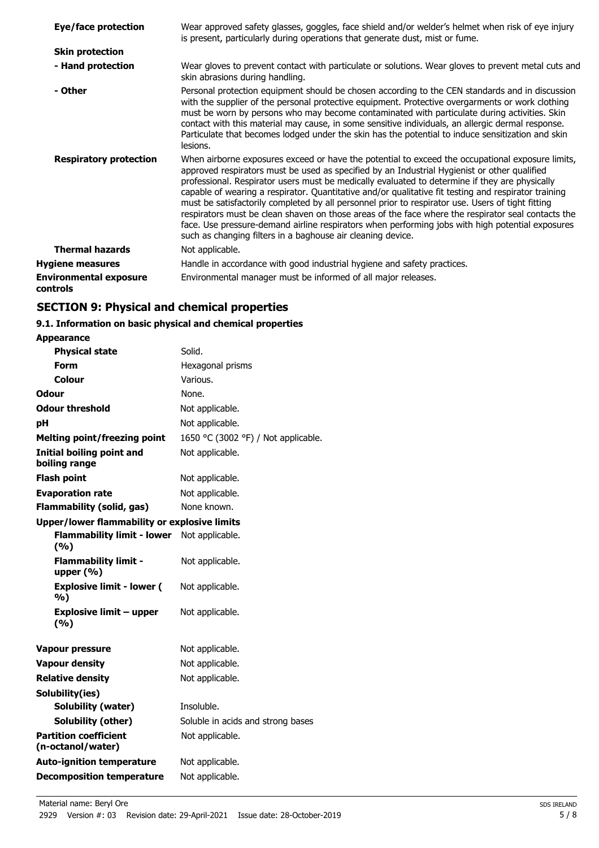| Eye/face protection                       | Wear approved safety glasses, goggles, face shield and/or welder's helmet when risk of eye injury<br>is present, particularly during operations that generate dust, mist or fume.                                                                                                                                                                                                                                                                                                                                                                                                                                                                                                                                                                                                        |
|-------------------------------------------|------------------------------------------------------------------------------------------------------------------------------------------------------------------------------------------------------------------------------------------------------------------------------------------------------------------------------------------------------------------------------------------------------------------------------------------------------------------------------------------------------------------------------------------------------------------------------------------------------------------------------------------------------------------------------------------------------------------------------------------------------------------------------------------|
| <b>Skin protection</b>                    |                                                                                                                                                                                                                                                                                                                                                                                                                                                                                                                                                                                                                                                                                                                                                                                          |
| - Hand protection                         | Wear gloves to prevent contact with particulate or solutions. Wear gloves to prevent metal cuts and<br>skin abrasions during handling.                                                                                                                                                                                                                                                                                                                                                                                                                                                                                                                                                                                                                                                   |
| - Other                                   | Personal protection equipment should be chosen according to the CEN standards and in discussion<br>with the supplier of the personal protective equipment. Protective overgarments or work clothing<br>must be worn by persons who may become contaminated with particulate during activities. Skin<br>contact with this material may cause, in some sensitive individuals, an allergic dermal response.<br>Particulate that becomes lodged under the skin has the potential to induce sensitization and skin<br>lesions.                                                                                                                                                                                                                                                                |
| <b>Respiratory protection</b>             | When airborne exposures exceed or have the potential to exceed the occupational exposure limits,<br>approved respirators must be used as specified by an Industrial Hygienist or other qualified<br>professional. Respirator users must be medically evaluated to determine if they are physically<br>capable of wearing a respirator. Quantitative and/or qualitative fit testing and respirator training<br>must be satisfactorily completed by all personnel prior to respirator use. Users of tight fitting<br>respirators must be clean shaven on those areas of the face where the respirator seal contacts the<br>face. Use pressure-demand airline respirators when performing jobs with high potential exposures<br>such as changing filters in a baghouse air cleaning device. |
| <b>Thermal hazards</b>                    | Not applicable.                                                                                                                                                                                                                                                                                                                                                                                                                                                                                                                                                                                                                                                                                                                                                                          |
| <b>Hygiene measures</b>                   | Handle in accordance with good industrial hygiene and safety practices.                                                                                                                                                                                                                                                                                                                                                                                                                                                                                                                                                                                                                                                                                                                  |
| <b>Environmental exposure</b><br>controls | Environmental manager must be informed of all major releases.                                                                                                                                                                                                                                                                                                                                                                                                                                                                                                                                                                                                                                                                                                                            |

# **SECTION 9: Physical and chemical properties**

# **9.1. Information on basic physical and chemical properties**

| <b>Appearance</b>                                   |                                     |
|-----------------------------------------------------|-------------------------------------|
| <b>Physical state</b>                               | Solid.                              |
| Form                                                | Hexagonal prisms                    |
| Colour                                              | Various.                            |
| Odour                                               | None.                               |
| <b>Odour threshold</b>                              | Not applicable.                     |
| рH                                                  | Not applicable.                     |
| <b>Melting point/freezing point</b>                 | 1650 °C (3002 °F) / Not applicable. |
| <b>Initial boiling point and</b><br>boiling range   | Not applicable.                     |
| <b>Flash point</b>                                  | Not applicable.                     |
| <b>Evaporation rate</b>                             | Not applicable.                     |
| <b>Flammability (solid, gas)</b>                    | None known.                         |
| <b>Upper/lower flammability or explosive limits</b> |                                     |
| <b>Flammability limit - lower</b><br>(9/6)          | Not applicable.                     |
| <b>Flammability limit -</b><br>upper $(\% )$        | Not applicable.                     |
| <b>Explosive limit - lower (</b><br>%)              | Not applicable.                     |
| <b>Explosive limit - upper</b><br>(%)               | Not applicable.                     |
| <b>Vapour pressure</b>                              | Not applicable.                     |
| <b>Vapour density</b>                               | Not applicable.                     |
| <b>Relative density</b>                             | Not applicable.                     |
| Solubility(ies)                                     |                                     |
| Solubility (water)                                  | Insoluble.                          |
| Solubility (other)                                  | Soluble in acids and strong bases   |
| <b>Partition coefficient</b><br>(n-octanol/water)   | Not applicable.                     |
| <b>Auto-ignition temperature</b>                    | Not applicable.                     |
| <b>Decomposition temperature</b>                    | Not applicable.                     |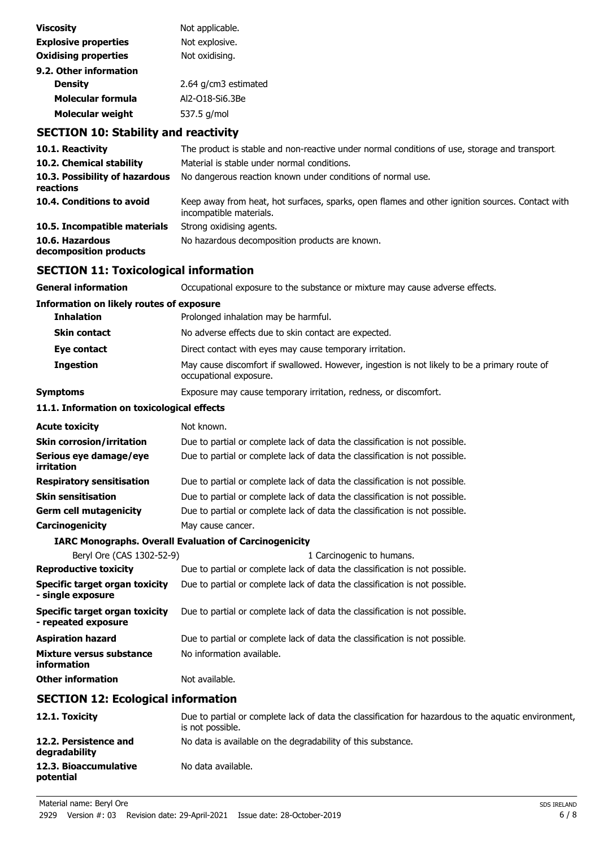| <b>Viscosity</b>            | Not applicable.      |
|-----------------------------|----------------------|
| <b>Explosive properties</b> | Not explosive.       |
| <b>Oxidising properties</b> | Not oxidising.       |
| 9.2. Other information      |                      |
| <b>Density</b>              | 2.64 g/cm3 estimated |
| Molecular formula           | Al2-018-Si6.3Be      |
| <b>Molecular weight</b>     | 537.5 g/mol          |
|                             |                      |

# **SECTION 10: Stability and reactivity**

| 10.1. Reactivity                            | The product is stable and non-reactive under normal conditions of use, storage and transport.                              |
|---------------------------------------------|----------------------------------------------------------------------------------------------------------------------------|
| 10.2. Chemical stability                    | Material is stable under normal conditions.                                                                                |
| 10.3. Possibility of hazardous<br>reactions | No dangerous reaction known under conditions of normal use.                                                                |
| 10.4. Conditions to avoid                   | Keep away from heat, hot surfaces, sparks, open flames and other ignition sources. Contact with<br>incompatible materials. |
| 10.5. Incompatible materials                | Strong oxidising agents.                                                                                                   |
| 10.6. Hazardous<br>decomposition products   | No hazardous decomposition products are known.                                                                             |

# **SECTION 11: Toxicological information**

| <b>General information</b>                            | Occupational exposure to the substance or mixture may cause adverse effects.                                           |  |
|-------------------------------------------------------|------------------------------------------------------------------------------------------------------------------------|--|
| <b>Information on likely routes of exposure</b>       |                                                                                                                        |  |
| <b>Inhalation</b>                                     | Prolonged inhalation may be harmful.                                                                                   |  |
| <b>Skin contact</b>                                   | No adverse effects due to skin contact are expected.                                                                   |  |
| Eye contact                                           | Direct contact with eyes may cause temporary irritation.                                                               |  |
| <b>Ingestion</b>                                      | May cause discomfort if swallowed. However, ingestion is not likely to be a primary route of<br>occupational exposure. |  |
| Symptoms                                              | Exposure may cause temporary irritation, redness, or discomfort.                                                       |  |
| 11.1. Information on toxicological effects            |                                                                                                                        |  |
| Acute toxicity                                        | Not known.                                                                                                             |  |
| Skin corrosion/irritation                             | Due to partial or complete lack of data the classification is not possible.                                            |  |
| Serious eye damage/eye<br>irritation                  | Due to partial or complete lack of data the classification is not possible.                                            |  |
| <b>Respiratory sensitisation</b>                      | Due to partial or complete lack of data the classification is not possible.                                            |  |
| Skin sensitisation                                    | Due to partial or complete lack of data the classification is not possible.                                            |  |
| Germ cell mutagenicity                                | Due to partial or complete lack of data the classification is not possible.                                            |  |
| Carcinogenicity                                       | May cause cancer.                                                                                                      |  |
|                                                       | <b>IARC Monographs. Overall Evaluation of Carcinogenicity</b>                                                          |  |
| Beryl Ore (CAS 1302-52-9)                             | 1 Carcinogenic to humans.                                                                                              |  |
| <b>Reproductive toxicity</b>                          | Due to partial or complete lack of data the classification is not possible.                                            |  |
| Specific target organ toxicity<br>- single exposure   | Due to partial or complete lack of data the classification is not possible.                                            |  |
| Specific target organ toxicity<br>- repeated exposure | Due to partial or complete lack of data the classification is not possible.                                            |  |
| Aspiration hazard                                     | Due to partial or complete lack of data the classification is not possible.                                            |  |
| Mixture versus substance<br>information               | No information available.                                                                                              |  |
| <b>Other information</b>                              | Not available.                                                                                                         |  |
| <b>SECTION 12: Ecological information</b>             |                                                                                                                        |  |
|                                                       |                                                                                                                        |  |

| 12.1. Toxicity                         | Due to partial or complete lack of data the classification for hazardous to the aquatic environment,<br>is not possible. |
|----------------------------------------|--------------------------------------------------------------------------------------------------------------------------|
| 12.2. Persistence and<br>degradability | No data is available on the degradability of this substance.                                                             |
| 12.3. Bioaccumulative<br>potential     | No data available.                                                                                                       |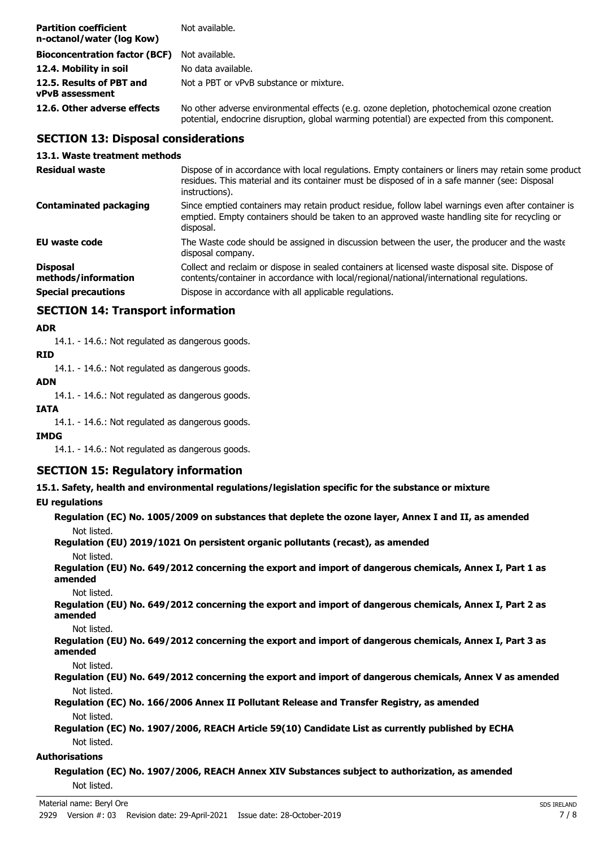| <b>Partition coefficient</b><br>n-octanol/water (log Kow) | Not available.                                                                                                                                                                             |
|-----------------------------------------------------------|--------------------------------------------------------------------------------------------------------------------------------------------------------------------------------------------|
| <b>Bioconcentration factor (BCF)</b> Not available.       |                                                                                                                                                                                            |
| 12.4. Mobility in soil                                    | No data available.                                                                                                                                                                         |
| 12.5. Results of PBT and<br>vPvB assessment               | Not a PBT or vPvB substance or mixture.                                                                                                                                                    |
| 12.6. Other adverse effects                               | No other adverse environmental effects (e.g. ozone depletion, photochemical ozone creation<br>potential, endocrine disruption, global warming potential) are expected from this component. |

## **SECTION 13: Disposal considerations**

#### **13.1. Waste treatment methods**

| <b>Residual waste</b>                  | Dispose of in accordance with local regulations. Empty containers or liners may retain some product<br>residues. This material and its container must be disposed of in a safe manner (see: Disposal<br>instructions). |
|----------------------------------------|------------------------------------------------------------------------------------------------------------------------------------------------------------------------------------------------------------------------|
| <b>Contaminated packaging</b>          | Since emptied containers may retain product residue, follow label warnings even after container is<br>emptied. Empty containers should be taken to an approved waste handling site for recycling or<br>disposal.       |
| EU waste code                          | The Waste code should be assigned in discussion between the user, the producer and the waste<br>disposal company.                                                                                                      |
| <b>Disposal</b><br>methods/information | Collect and reclaim or dispose in sealed containers at licensed waste disposal site. Dispose of<br>contents/container in accordance with local/regional/national/international regulations.                            |
| <b>Special precautions</b>             | Dispose in accordance with all applicable regulations.                                                                                                                                                                 |

# **SECTION 14: Transport information**

#### **ADR**

14.1. - 14.6.: Not regulated as dangerous goods.

#### **RID**

14.1. - 14.6.: Not regulated as dangerous goods.

**ADN** 14.1. - 14.6.: Not regulated as dangerous goods.

# **IATA**

14.1. - 14.6.: Not regulated as dangerous goods.

#### **IMDG**

14.1. - 14.6.: Not regulated as dangerous goods.

# **SECTION 15: Regulatory information**

**15.1. Safety, health and environmental regulations/legislation specific for the substance or mixture**

#### **EU regulations**

```
Regulation (EC) No. 1005/2009 on substances that deplete the ozone layer, Annex I and II, as amended
   Not listed.
Regulation (EU) 2019/1021 On persistent organic pollutants (recast), as amended
   Not listed.
Regulation (EU) No. 649/2012 concerning the export and import of dangerous chemicals, Annex I, Part 1 as
amended
   Not listed.
Regulation (EU) No. 649/2012 concerning the export and import of dangerous chemicals, Annex I, Part 2 as
amended
   Not listed.
Regulation (EU) No. 649/2012 concerning the export and import of dangerous chemicals, Annex I, Part 3 as
amended
   Not listed.
```
**Regulation (EU) No. 649/2012 concerning the export and import of dangerous chemicals, Annex V as amended** Not listed.

**Regulation (EC) No. 166/2006 Annex II Pollutant Release and Transfer Registry, as amended** Not listed.

**Regulation (EC) No. 1907/2006, REACH Article 59(10) Candidate List as currently published by ECHA** Not listed.

#### **Authorisations**

**Regulation (EC) No. 1907/2006, REACH Annex XIV Substances subject to authorization, as amended** Not listed.